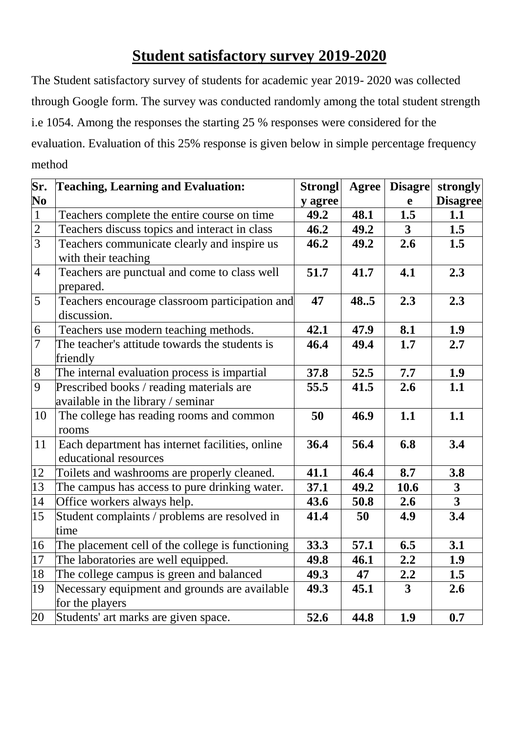## **Student satisfactory survey 2019-2020**

The Student satisfactory survey of students for academic year 2019- 2020 was collected through Google form. The survey was conducted randomly among the total student strength i.e 1054. Among the responses the starting 25 % responses were considered for the evaluation. Evaluation of this 25% response is given below in simple percentage frequency method

| Sr.            | <b>Teaching, Learning and Evaluation:</b>        | <b>Strongl</b> | <b>Agree</b> | <b>Disagre</b> | strongly                |
|----------------|--------------------------------------------------|----------------|--------------|----------------|-------------------------|
| N <sub>0</sub> |                                                  | y agree        |              | $\mathbf e$    | <b>Disagree</b>         |
| $\mathbf{1}$   | Teachers complete the entire course on time      | 49.2           | 48.1         | 1.5            | 1.1                     |
| $\overline{2}$ | Teachers discuss topics and interact in class    | 46.2           | 49.2         | $\mathbf{3}$   | 1.5                     |
| $\overline{3}$ | Teachers communicate clearly and inspire us      | 46.2           | 49.2         | 2.6            | 1.5                     |
|                | with their teaching                              |                |              |                |                         |
| $\overline{4}$ | Teachers are punctual and come to class well     | 51.7           | 41.7         | 4.1            | 2.3                     |
|                | prepared.                                        |                |              |                |                         |
| 5              | Teachers encourage classroom participation and   | 47             | 48.5         | 2.3            | 2.3                     |
|                | discussion.                                      |                |              |                |                         |
| 6              | Teachers use modern teaching methods.            | 42.1           | 47.9         | 8.1            | 1.9                     |
| $\overline{7}$ | The teacher's attitude towards the students is   | 46.4           | 49.4         | 1.7            | 2.7                     |
|                | friendly                                         |                |              |                |                         |
| $8\phantom{1}$ | The internal evaluation process is impartial     | 37.8           | 52.5         | 7.7            | 1.9                     |
| $\overline{9}$ | Prescribed books / reading materials are         | 55.5           | 41.5         | 2.6            | 1.1                     |
|                | available in the library / seminar               |                |              |                |                         |
| 10             | The college has reading rooms and common         | 50             | 46.9         | 1.1            | 1.1                     |
|                | rooms                                            |                |              |                |                         |
| 11             | Each department has internet facilities, online  | 36.4           | 56.4         | 6.8            | 3.4                     |
|                | educational resources                            |                |              |                |                         |
| 12             | Toilets and washrooms are properly cleaned.      | 41.1           | 46.4         | 8.7            | 3.8                     |
| 13             | The campus has access to pure drinking water.    | 37.1           | 49.2         | 10.6           | $\overline{\mathbf{3}}$ |
| 14             | Office workers always help.                      | 43.6           | 50.8         | 2.6            | $\overline{\mathbf{3}}$ |
| 15             | Student complaints / problems are resolved in    | 41.4           | 50           | 4.9            | 3.4                     |
|                | time                                             |                |              |                |                         |
| 16             | The placement cell of the college is functioning | 33.3           | 57.1         | 6.5            | 3.1                     |
| 17             | The laboratories are well equipped.              | 49.8           | 46.1         | 2.2            | 1.9                     |
| 18             | The college campus is green and balanced         | 49.3           | 47           | 2.2            | 1.5                     |
| 19             | Necessary equipment and grounds are available    | 49.3           | 45.1         | $\mathbf{3}$   | 2.6                     |
|                | for the players                                  |                |              |                |                         |
| 20             | Students' art marks are given space.             | 52.6           | 44.8         | 1.9            | 0.7                     |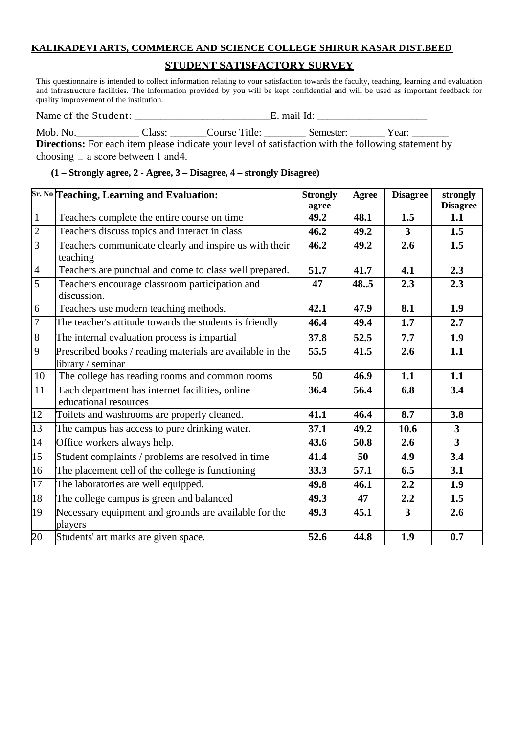## **KALIKADEVI ARTS, COMMERCE AND SCIENCE COLLEGE SHIRUR KASAR DIST.BEED**

## **STUDENT SATISFACTORY SURVEY**

This questionnaire is intended to collect information relating to your satisfaction towards the faculty, teaching, learning and evaluation and infrastructure facilities. The information provided by you will be kept confidential and will be used as important feedback for quality improvement of the institution.

| Name of the Student: | . mail Id: |
|----------------------|------------|
|----------------------|------------|

Mob. No. \_\_\_\_\_\_\_\_\_\_\_\_\_\_\_ Class: \_\_\_\_\_\_\_\_Course Title: \_\_\_\_\_\_\_\_\_\_ Semester: \_\_\_\_\_\_\_\_ Year: \_\_\_\_\_\_\_\_\_ **Directions:** For each item please indicate your level of satisfaction with the following statement by choosing  $\Box$  a score between 1 and 4.

|  |  |  | (1 – Strongly agree, 2 - Agree, 3 – Disagree, 4 – strongly Disagree) |  |  |
|--|--|--|----------------------------------------------------------------------|--|--|
|--|--|--|----------------------------------------------------------------------|--|--|

|                 | Sr. No Teaching, Learning and Evaluation:                                      | <b>Strongly</b><br>agree | Agree | <b>Disagree</b> | strongly<br><b>Disagree</b> |
|-----------------|--------------------------------------------------------------------------------|--------------------------|-------|-----------------|-----------------------------|
| $\mathbf{1}$    | Teachers complete the entire course on time                                    | 49.2                     | 48.1  | 1.5             | 1.1                         |
| $\sqrt{2}$      | Teachers discuss topics and interact in class                                  | 46.2                     | 49.2  | $\mathbf{3}$    | 1.5                         |
| $\overline{3}$  | Teachers communicate clearly and inspire us with their<br>teaching             | 46.2                     | 49.2  | 2.6             | 1.5                         |
| $\overline{4}$  | Teachers are punctual and come to class well prepared.                         | 51.7                     | 41.7  | 4.1             | 2.3                         |
| 5               | Teachers encourage classroom participation and<br>discussion.                  | 47                       | 48.5  | 2.3             | 2.3                         |
| 6               | Teachers use modern teaching methods.                                          | 42.1                     | 47.9  | 8.1             | 1.9                         |
| $\overline{7}$  | The teacher's attitude towards the students is friendly                        | 46.4                     | 49.4  | 1.7             | 2.7                         |
| $8\,$           | The internal evaluation process is impartial                                   | 37.8                     | 52.5  | 7.7             | 1.9                         |
| 9               | Prescribed books / reading materials are available in the<br>library / seminar | 55.5                     | 41.5  | 2.6             | 1.1                         |
| 10              | The college has reading rooms and common rooms                                 | 50                       | 46.9  | 1.1             | 1.1                         |
| 11              | Each department has internet facilities, online<br>educational resources       | 36.4                     | 56.4  | 6.8             | 3.4                         |
| 12              | Toilets and washrooms are properly cleaned.                                    | 41.1                     | 46.4  | 8.7             | 3.8                         |
| 13              | The campus has access to pure drinking water.                                  | 37.1                     | 49.2  | 10.6            | $\mathbf{3}$                |
| 14              | Office workers always help.                                                    | 43.6                     | 50.8  | 2.6             | $\overline{\mathbf{3}}$     |
| 15              | Student complaints / problems are resolved in time                             | 41.4                     | 50    | 4.9             | 3.4                         |
| 16              | The placement cell of the college is functioning                               | 33.3                     | 57.1  | 6.5             | 3.1                         |
| $\overline{17}$ | The laboratories are well equipped.                                            | 49.8                     | 46.1  | 2.2             | 1.9                         |
| 18              | The college campus is green and balanced                                       | 49.3                     | 47    | 2.2             | 1.5                         |
| 19              | Necessary equipment and grounds are available for the<br>players               | 49.3                     | 45.1  | $\overline{3}$  | 2.6                         |
| 20              | Students' art marks are given space.                                           | 52.6                     | 44.8  | 1.9             | 0.7                         |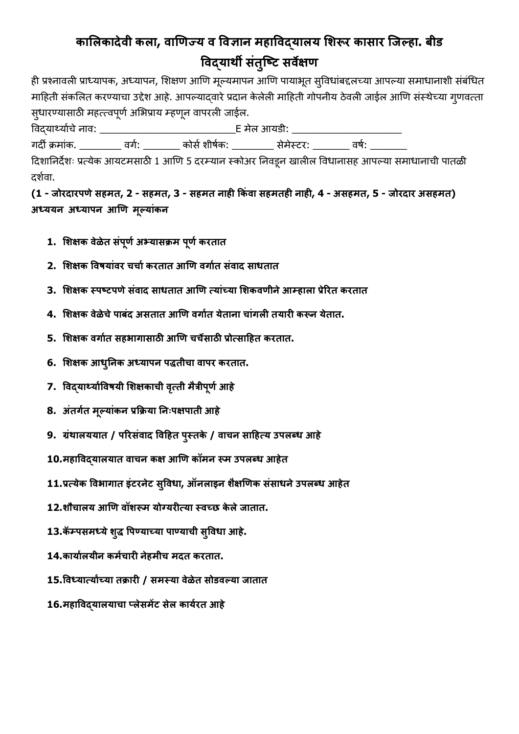## **कालऱकादेळी कऱा, ळाणिज्य ळ वळहान मषावळद्याऱय लऴरूर काशार जजल्षा. बीड वळद्यार्थी शंतु जटि शळेसि**

ही प्रश्नावली प्राध्यापक, अध्यापन, शिक्षण आणि मूल्यमापन आणि पायाभूत सुविधांबद्दलच्या आपल्या समाधानाशी संबंधित माहिती संकलित करण्याचा उद्देश आहे. आपल्याद्वारे प्रदान केलेली माहिती गोपनीय ठेवली जाईल आणि संस्थेच्या ग्णवत्ता स्धारण्यासाठी महत्त्वपूर्ण अभिप्राय म्हणून वापरली जाईल.

वळद्यार्थयाणचेनाळ: \_\_\_\_\_\_\_\_\_\_\_\_\_\_\_\_\_\_\_\_\_\_\_\_\_\_E मेऱ आयडी: \_\_\_\_\_\_\_\_\_\_\_\_\_\_\_\_\_\_\_\_\_ गर्दी क्रमांक. \_\_\_\_\_\_\_\_\_ वर्ग: \_\_\_\_\_\_\_\_ कोर्स शीर्षक: \_\_\_\_\_\_\_\_\_ सेमेस्टर: \_\_\_\_\_\_\_\_ वर्ष: \_\_\_\_

दिशानिर्देशः प्रत्येक आयटमसाठी 1 आणि 5 दरम्यान स्कोअर निवडून खालील विधानासह आपल्या समाधानाची पातळी दर्शवा.

**(1 - जोरदारऩिेशषमत, 2 - शषमत, 3 - शषमत नाषी ककंळा शषमतषी नाषी, 4 - अशषमत, 5 - जोरदार अशषमत) अध्ययन अध्याऩन आणि मल्ूयांकन**

- **1. लऴसक ळेलेत शऩं िू णअभ्याशक्रम ऩिू णकरतात**
- **2. लऴसक वळवयांळर चचाणकरतात आणि ळगाणत शंळाद शाधतात**
- **3. लऴसक स्ऩटिऩिेशंळाद शाधतात आणि तयांच्या लऴकळिीनेआम्षाऱा प्रेररत करतात**
- **4. लऴसक ळेलेचेऩाबंद अशतात आणि ळगाणत येताना चांगऱी तयारी करून येतात.**
- **5. लऴसक ळगाणत शषभागाशाठी आणि चचेशाठी प्रोतशाहषत करतात.**
- **6. लऴसक आधुननक अध्याऩन ऩद्धतीचा ळाऩर करतात.**
- **7. वळद्यार्थयाांवळवयी लऴसकाची ळतृती मत्रै ीऩिू णआषे**
- **8. अंतगणत मल्ूयांकन प्रकक्रया नन्ऩसऩाती आषे**
- **9. ग्रंर्थाऱययात / ऩररशंळाद वळहषत ऩस्ुतके / ळाचन शाहषतय उऩऱब्ध आषे**
- **10.मषावळद्याऱयात ळाचन कस आणि कॉमन रूम उऩऱब्ध आषेत**
- **11.प्रतयेक वळभागात इंिरनेि शवुळधा, ऑनऱाइन ऴैसणिक शंशाधनेउऩऱब्ध आषेत**
- **12.ऴौचाऱय आणि ळॉऴरूम योग्यरीतया स्ळच्छ के ऱेजातात.**
- **13.कॎम्ऩशमध्येऴद्धु वऩण्याच्या ऩाण्याची शवुळधा आषे.**
- **14.कायाणऱयीन कमणचारी नेषमीच मदत करतात.**
- **15.वळध्यातयाांच्या तक्रारी / शमस्या ळेलेत शोडळल्या जातात**
- **16.मषावळद्याऱयाचा प्ऱेशमेंि शेऱ कायणरत आषे**